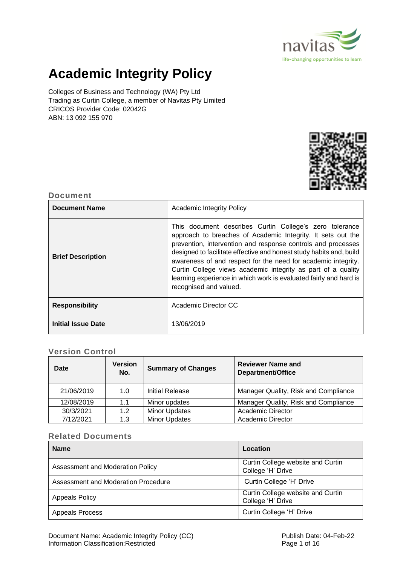

# **Academic Integrity Policy**

Colleges of Business and Technology (WA) Pty Ltd Trading as Curtin College, a member of Navitas Pty Limited CRICOS Provider Code: 02042G ABN: 13 092 155 970



# **Document**

| <b>Document Name</b>      | <b>Academic Integrity Policy</b>                                                                                                                                                                                                                                                                                                                                                                                                                                                              |  |
|---------------------------|-----------------------------------------------------------------------------------------------------------------------------------------------------------------------------------------------------------------------------------------------------------------------------------------------------------------------------------------------------------------------------------------------------------------------------------------------------------------------------------------------|--|
| <b>Brief Description</b>  | This document describes Curtin College's zero tolerance<br>approach to breaches of Academic Integrity. It sets out the<br>prevention, intervention and response controls and processes<br>designed to facilitate effective and honest study habits and, build<br>awareness of and respect for the need for academic integrity.<br>Curtin College views academic integrity as part of a quality<br>learning experience in which work is evaluated fairly and hard is<br>recognised and valued. |  |
| <b>Responsibility</b>     | Academic Director CC                                                                                                                                                                                                                                                                                                                                                                                                                                                                          |  |
| <b>Initial Issue Date</b> | 13/06/2019                                                                                                                                                                                                                                                                                                                                                                                                                                                                                    |  |

# **Version Control**

| <b>Date</b> | <b>Version</b><br>No. | <b>Summary of Changes</b> | <b>Reviewer Name and</b><br><b>Department/Office</b> |  |
|-------------|-----------------------|---------------------------|------------------------------------------------------|--|
| 21/06/2019  | 1.0                   | Initial Release           | Manager Quality, Risk and Compliance                 |  |
| 12/08/2019  | 1.1                   | Minor updates             | Manager Quality, Risk and Compliance                 |  |
| 30/3/2021   | 1.2                   | <b>Minor Updates</b>      | <b>Academic Director</b>                             |  |
| 7/12/2021   | 1.3                   | <b>Minor Updates</b>      | <b>Academic Director</b>                             |  |

#### **Related Documents**

| <b>Name</b>                         | Location                                               |
|-------------------------------------|--------------------------------------------------------|
| Assessment and Moderation Policy    | Curtin College website and Curtin<br>College 'H' Drive |
| Assessment and Moderation Procedure | Curtin College 'H' Drive                               |
| <b>Appeals Policy</b>               | Curtin College website and Curtin<br>College 'H' Drive |
| <b>Appeals Process</b>              | Curtin College 'H' Drive                               |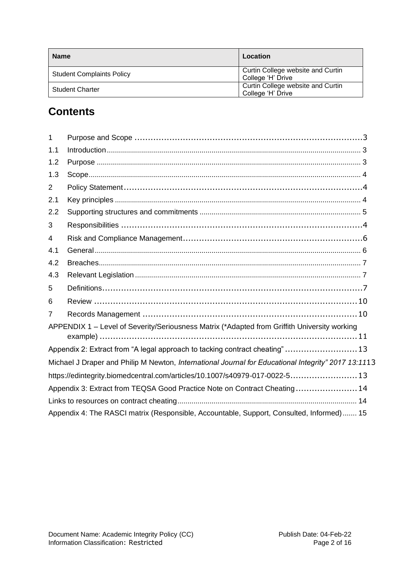| <b>Name</b>                      | Location                                               |
|----------------------------------|--------------------------------------------------------|
| <b>Student Complaints Policy</b> | Curtin College website and Curtin<br>College 'H' Drive |
| <b>Student Charter</b>           | Curtin College website and Curtin<br>College 'H' Drive |

# **Contents**

| $\mathbf{1}$   |                                                                                                     |
|----------------|-----------------------------------------------------------------------------------------------------|
| 1.1            |                                                                                                     |
| 1.2            |                                                                                                     |
| 1.3            |                                                                                                     |
| $\overline{2}$ |                                                                                                     |
| 2.1            |                                                                                                     |
| 2.2            |                                                                                                     |
| 3              |                                                                                                     |
| 4              |                                                                                                     |
| 4.1            |                                                                                                     |
| 4.2            |                                                                                                     |
| 4.3            |                                                                                                     |
| 5              |                                                                                                     |
| 6              |                                                                                                     |
| 7              |                                                                                                     |
|                | APPENDIX 1 – Level of Severity/Seriousness Matrix (*Adapted from Griffith University working        |
|                | Appendix 2: Extract from "A legal approach to tacking contract cheating"13                          |
|                | Michael J Draper and Philip M Newton, International Journal for Educational Integrity" 2017 13:1113 |
|                | https://edintegrity.biomedcentral.com/articles/10.1007/s40979-017-0022-513                          |
|                | Appendix 3: Extract from TEQSA Good Practice Note on Contract Cheating14                            |
|                |                                                                                                     |
|                | Appendix 4: The RASCI matrix (Responsible, Accountable, Support, Consulted, Informed) 15            |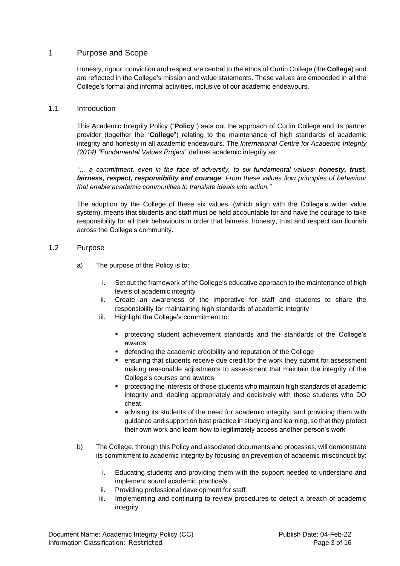#### <span id="page-2-0"></span>1 Purpose and Scope

Honesty, rigour, conviction and respect are central to the ethos of Curtin College (the **College**) and are reflected in the College's mission and value statements. These values are embedded in all the College's formal and informal activities, inclusive of our academic endeavours.

#### <span id="page-2-1"></span>1.1 Introduction

This Academic Integrity Policy ("**Policy**") sets out the approach of Curtin College and its partner provider (together the "**College**") relating to the maintenance of high standards of academic integrity and honesty in all academic endeavours. The *International Centre for Academic Integrity (2014) "Fundamental Values Project"* defines academic integrity as:

*"… a commitment, even in the face of adversity, to six fundamental values: honesty, trust, fairness, respect, responsibility and courage. From these values flow principles of behaviour that enable academic communities to translate ideals into action."*

The adoption by the College of these six values, (which align with the College's wider value system), means that students and staff must be held accountable for and have the courage to take responsibility for all their behaviours in order that fairness, honesty, trust and respect can flourish across the College's community.

#### <span id="page-2-2"></span>1.2 Purpose

- a) The purpose of this Policy is to:
	- i. Set out the framework of the College's educative approach to the maintenance of high levels of academic integrity
	- ii. Create an awareness of the imperative for staff and students to share the responsibility for maintaining high standards of academic integrity
	- iii. Highlight the College's commitment to:
		- protecting student achievement standards and the standards of the College's awards
		- defending the academic credibility and reputation of the College
		- ensuring that students receive due credit for the work they submit for assessment making reasonable adjustments to assessment that maintain the integrity of the College's courses and awards
		- protecting the interests of those students who maintain high standards of academic integrity and, dealing appropriately and decisively with those students who DO cheat
		- **•** advising its students of the need for academic integrity, and providing them with guidance and support on best practice in studying and learning, so that they protect their own work and learn how to legitimately access another person's work
- b) The College, through this Policy and associated documents and processes, will demonstrate its commitment to academic integrity by focusing on prevention of academic misconduct by:
	- i. Educating students and providing them with the support needed to understand and implement sound academic practice/s
	- ii. Providing professional development for staff
	- iii. Implementing and continuing to review procedures to detect a breach of academic integrity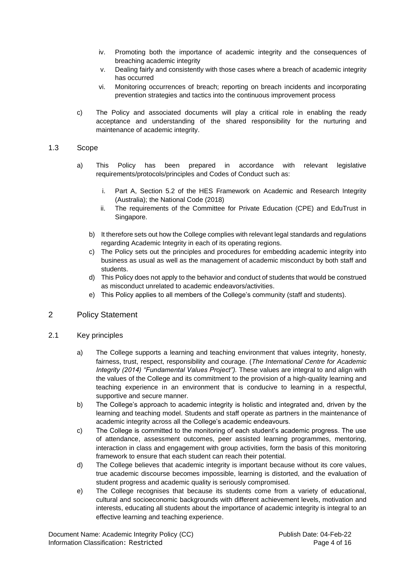- iv. Promoting both the importance of academic integrity and the consequences of breaching academic integrity
- v. Dealing fairly and consistently with those cases where a breach of academic integrity has occurred
- vi. Monitoring occurrences of breach; reporting on breach incidents and incorporating prevention strategies and tactics into the continuous improvement process
- c) The Policy and associated documents will play a critical role in enabling the ready acceptance and understanding of the shared responsibility for the nurturing and maintenance of academic integrity.

#### <span id="page-3-0"></span>1.3 Scope

- a) This Policy has been prepared in accordance with relevant legislative requirements/protocols/principles and Codes of Conduct such as:
	- i. Part A, Section 5.2 of the HES Framework on Academic and Research Integrity (Australia); the National Code (2018)
	- ii. The requirements of the Committee for Private Education (CPE) and EduTrust in Singapore.
	- b) It therefore sets out how the College complies with relevant legal standards and regulations regarding Academic Integrity in each of its operating regions.
	- c) The Policy sets out the principles and procedures for embedding academic integrity into business as usual as well as the management of academic misconduct by both staff and students.
	- d) This Policy does not apply to the behavior and conduct of students that would be construed as misconduct unrelated to academic endeavors/activities.
	- e) This Policy applies to all members of the College's community (staff and students).

#### <span id="page-3-1"></span>2 Policy Statement

- <span id="page-3-3"></span><span id="page-3-2"></span>2.1 Key principles
	- a) The College supports a learning and teaching environment that values integrity, honesty, fairness, trust, respect, responsibility and courage. (*The International Centre for Academic Integrity (2014) "Fundamental Values Project").* These values are integral to and align with the values of the College and its commitment to the provision of a high-quality learning and teaching experience in an environment that is conducive to learning in a respectful, supportive and secure manner.
	- b) The College's approach to academic integrity is holistic and integrated and, driven by the learning and teaching model. Students and staff operate as partners in the maintenance of academic integrity across all the College's academic endeavours.
	- c) The College is committed to the monitoring of each student's academic progress. The use of attendance, assessment outcomes, peer assisted learning programmes, mentoring, interaction in class and engagement with group activities, form the basis of this monitoring framework to ensure that each student can reach their potential.
	- d) The College believes that academic integrity is important because without its core values, true academic discourse becomes impossible, learning is distorted, and the evaluation of student progress and academic quality is seriously compromised.
	- e) The College recognises that because its students come from a variety of educational, cultural and socioeconomic backgrounds with different achievement levels, motivation and interests, educating all students about the importance of academic integrity is integral to an effective learning and teaching experience.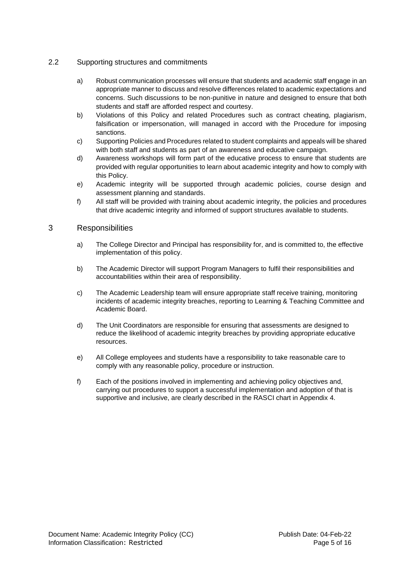#### <span id="page-4-0"></span>2.2 Supporting structures and commitments

- a) Robust communication processes will ensure that students and academic staff engage in an appropriate manner to discuss and resolve differences related to academic expectations and concerns. Such discussions to be non-punitive in nature and designed to ensure that both students and staff are afforded respect and courtesy.
- b) Violations of this Policy and related Procedures such as contract cheating, plagiarism, falsification or impersonation, will managed in accord with the Procedure for imposing sanctions.
- c) Supporting Policies and Procedures related to student complaints and appeals will be shared with both staff and students as part of an awareness and educative campaign.
- d) Awareness workshops will form part of the educative process to ensure that students are provided with regular opportunities to learn about academic integrity and how to comply with this Policy.
- e) Academic integrity will be supported through academic policies, course design and assessment planning and standards.
- f) All staff will be provided with training about academic integrity, the policies and procedures that drive academic integrity and informed of support structures available to students.

#### 3 Responsibilities

- a) The College Director and Principal has responsibility for, and is committed to, the effective implementation of this policy.
- b) The Academic Director will support Program Managers to fulfil their responsibilities and accountabilities within their area of responsibility.
- c) The Academic Leadership team will ensure appropriate staff receive training, monitoring incidents of academic integrity breaches, reporting to Learning & Teaching Committee and Academic Board.
- d) The Unit Coordinators are responsible for ensuring that assessments are designed to reduce the likelihood of academic integrity breaches by providing appropriate educative resources.
- e) All College employees and students have a responsibility to take reasonable care to comply with any reasonable policy, procedure or instruction.
- f) Each of the positions involved in implementing and achieving policy objectives and, carrying out procedures to support a successful implementation and adoption of that is supportive and inclusive, are clearly described in the RASCI chart in Appendix 4.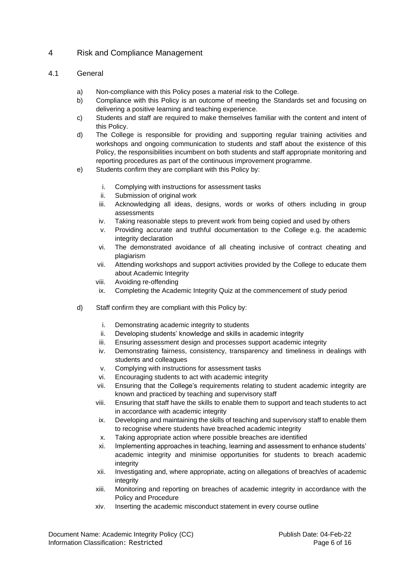## <span id="page-5-0"></span>4 Risk and Compliance Management

#### <span id="page-5-1"></span>4.1 General

- a) Non-compliance with this Policy poses a material risk to the College.
- b) Compliance with this Policy is an outcome of meeting the Standards set and focusing on delivering a positive learning and teaching experience.
- c) Students and staff are required to make themselves familiar with the content and intent of this Policy.
- d) The College is responsible for providing and supporting regular training activities and workshops and ongoing communication to students and staff about the existence of this Policy, the responsibilities incumbent on both students and staff appropriate monitoring and reporting procedures as part of the continuous improvement programme.
- e) Students confirm they are compliant with this Policy by:
	- i. Complying with instructions for assessment tasks
	- ii. Submission of original work
	- iii. Acknowledging all ideas, designs, words or works of others including in group assessments
	- iv. Taking reasonable steps to prevent work from being copied and used by others
	- v. Providing accurate and truthful documentation to the College e.g. the academic integrity declaration
	- vi. The demonstrated avoidance of all cheating inclusive of contract cheating and plagiarism
	- vii. Attending workshops and support activities provided by the College to educate them about Academic Integrity
	- viii. Avoiding re-offending
	- ix. Completing the Academic Integrity Quiz at the commencement of study period
- d) Staff confirm they are compliant with this Policy by:
	- i. Demonstrating academic integrity to students
	- ii. Developing students' knowledge and skills in academic integrity
	- iii. Ensuring assessment design and processes support academic integrity
	- iv. Demonstrating fairness, consistency, transparency and timeliness in dealings with students and colleagues
	- v. Complying with instructions for assessment tasks
	- vi. Encouraging students to act with academic integrity
	- vii. Ensuring that the College's requirements relating to student academic integrity are known and practiced by teaching and supervisory staff
	- viii. Ensuring that staff have the skills to enable them to support and teach students to act in accordance with academic integrity
	- ix. Developing and maintaining the skills of teaching and supervisory staff to enable them to recognise where students have breached academic integrity
	- x. Taking appropriate action where possible breaches are identified
	- xi. Implementing approaches in teaching, learning and assessment to enhance students' academic integrity and minimise opportunities for students to breach academic integrity
	- xii. Investigating and, where appropriate, acting on allegations of breach/es of academic integrity
	- xiii. Monitoring and reporting on breaches of academic integrity in accordance with the Policy and Procedure
	- xiv. Inserting the academic misconduct statement in every course outline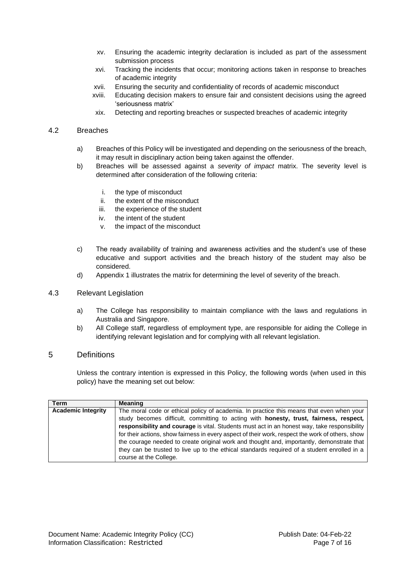- xv. Ensuring the academic integrity declaration is included as part of the assessment submission process
- xvi. Tracking the incidents that occur; monitoring actions taken in response to breaches of academic integrity
- xvii. Ensuring the security and confidentiality of records of academic misconduct
- xviii. Educating decision makers to ensure fair and consistent decisions using the agreed 'seriousness matrix'
- xix. Detecting and reporting breaches or suspected breaches of academic integrity

#### <span id="page-6-0"></span>4.2 Breaches

- a) Breaches of this Policy will be investigated and depending on the seriousness of the breach, it may result in disciplinary action being taken against the offender.
- b) Breaches will be assessed against a *severity of impact* matrix. The severity level is determined after consideration of the following criteria:
	- i. the type of misconduct
	- ii. the extent of the misconduct
	- iii. the experience of the student
	- iv. the intent of the student
	- v. the impact of the misconduct
- c) The ready availability of training and awareness activities and the student's use of these educative and support activities and the breach history of the student may also be considered.
- d) Appendix 1 illustrates the matrix for determining the level of severity of the breach.

#### <span id="page-6-1"></span>4.3 Relevant Legislation

- a) The College has responsibility to maintain compliance with the laws and regulations in Australia and Singapore.
- b) All College staff, regardless of employment type, are responsible for aiding the College in identifying relevant legislation and for complying with all relevant legislation.

#### <span id="page-6-2"></span>5 Definitions

Unless the contrary intention is expressed in this Policy, the following words (when used in this policy) have the meaning set out below:

| <b>Term</b>               | <b>Meaning</b>                                                                                   |  |  |
|---------------------------|--------------------------------------------------------------------------------------------------|--|--|
| <b>Academic Integrity</b> | The moral code or ethical policy of academia. In practice this means that even when your         |  |  |
|                           | study becomes difficult, committing to acting with honesty, trust, fairness, respect,            |  |  |
|                           | responsibility and courage is vital. Students must act in an honest way, take responsibility     |  |  |
|                           | for their actions, show fairness in every aspect of their work, respect the work of others, show |  |  |
|                           | the courage needed to create original work and thought and, importantly, demonstrate that        |  |  |
|                           | they can be trusted to live up to the ethical standards required of a student enrolled in a      |  |  |
|                           | course at the College.                                                                           |  |  |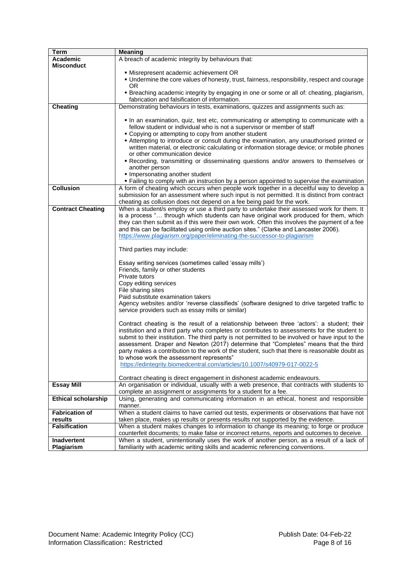| <b>Term</b>                | <b>Meaning</b>                                                                                    |  |  |
|----------------------------|---------------------------------------------------------------------------------------------------|--|--|
| Academic                   | A breach of academic integrity by behaviours that:                                                |  |  |
| Misconduct                 |                                                                                                   |  |  |
|                            | · Misrepresent academic achievement OR                                                            |  |  |
|                            | . Undermine the core values of honesty, trust, fairness, responsibility, respect and courage      |  |  |
|                            | OR.                                                                                               |  |  |
|                            | • Breaching academic integrity by engaging in one or some or all of: cheating, plagiarism,        |  |  |
|                            | fabrication and falsification of information.                                                     |  |  |
| <b>Cheating</b>            | Demonstrating behaviours in tests, examinations, quizzes and assignments such as:                 |  |  |
|                            |                                                                                                   |  |  |
|                            | In an examination, quiz, test etc, communicating or attempting to communicate with a              |  |  |
|                            | fellow student or individual who is not a supervisor or member of staff                           |  |  |
|                            | • Copying or attempting to copy from another student                                              |  |  |
|                            | Attempting to introduce or consult during the examination, any unauthorised printed or            |  |  |
|                            | written material, or electronic calculating or information storage device; or mobile phones       |  |  |
|                            | or other communication device                                                                     |  |  |
|                            | Recording, transmitting or disseminating questions and/or answers to themselves or                |  |  |
|                            | another person                                                                                    |  |  |
|                            | Impersonating another student                                                                     |  |  |
|                            | " Failing to comply with an instruction by a person appointed to supervise the examination        |  |  |
| <b>Collusion</b>           | A form of cheating which occurs when people work together in a deceitful way to develop a         |  |  |
|                            | submission for an assessment where such input is not permitted. It is distinct from contract      |  |  |
|                            | cheating as collusion does not depend on a fee being paid for the work.                           |  |  |
| <b>Contract Cheating</b>   | When a student/s employ or use a third party to undertake their assessed work for them. It        |  |  |
|                            | is a process " through which students can have original work produced for them, which             |  |  |
|                            | they can then submit as if this were their own work. Often this involves the payment of a fee     |  |  |
|                            | and this can be facilitated using online auction sites." (Clarke and Lancaster 2006).             |  |  |
|                            | https://www.plagiarism.org/paper/eliminating-the-successor-to-plagiarism                          |  |  |
|                            |                                                                                                   |  |  |
|                            | Third parties may include:                                                                        |  |  |
|                            |                                                                                                   |  |  |
|                            | Essay writing services (sometimes called 'essay mills')                                           |  |  |
|                            | Friends, family or other students                                                                 |  |  |
|                            | Private tutors                                                                                    |  |  |
|                            | Copy editing services                                                                             |  |  |
|                            | File sharing sites                                                                                |  |  |
|                            | Paid substitute examination takers                                                                |  |  |
|                            | Agency websites and/or 'reverse classifieds' (software designed to drive targeted traffic to      |  |  |
|                            | service providers such as essay mills or similar)                                                 |  |  |
|                            |                                                                                                   |  |  |
|                            | Contract cheating is the result of a relationship between three 'actors': a student; their        |  |  |
|                            | institution and a third party who completes or contributes to assessments for the student to      |  |  |
|                            | submit to their institution. The third party is not permitted to be involved or have input to the |  |  |
|                            | assessment. Draper and Newton (2017) determine that "Completes" means that the third              |  |  |
|                            | party makes a contribution to the work of the student, such that there is reasonable doubt as     |  |  |
|                            | to whose work the assessment represents"                                                          |  |  |
|                            | https://edintegrity.biomedcentral.com/articles/10.1007/s40979-017-0022-5                          |  |  |
|                            |                                                                                                   |  |  |
|                            | Contract cheating is direct engagement in dishonest academic endeavours.                          |  |  |
| <b>Essay Mill</b>          | An organisation or individual, usually with a web presence, that contracts with students to       |  |  |
|                            | complete an assignment or assignments for a student for a fee.                                    |  |  |
| <b>Ethical scholarship</b> | Using, generating and communicating information in an ethical, honest and responsible             |  |  |
|                            | manner.                                                                                           |  |  |
| <b>Fabrication of</b>      | When a student claims to have carried out tests, experiments or observations that have not        |  |  |
| results                    | taken place, makes up results or presents results not supported by the evidence.                  |  |  |
| <b>Falsification</b>       | When a student makes changes to information to change its meaning; to forge or produce            |  |  |
|                            | counterfeit documents; to make false or incorrect returns, reports and outcomes to deceive.       |  |  |
| Inadvertent                | When a student, unintentionally uses the work of another person, as a result of a lack of         |  |  |
| Plagiarism                 | familiarity with academic writing skills and academic referencing conventions.                    |  |  |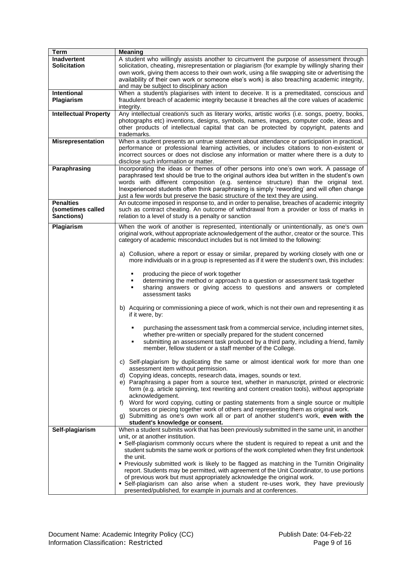| <b>Term</b>                               | <b>Meaning</b>                                                                                                                                                                                                                                                                                                |  |  |  |
|-------------------------------------------|---------------------------------------------------------------------------------------------------------------------------------------------------------------------------------------------------------------------------------------------------------------------------------------------------------------|--|--|--|
| <b>Inadvertent</b><br><b>Solicitation</b> | A student who willingly assists another to circumvent the purpose of assessment through<br>solicitation, cheating, misrepresentation or plagiarism (for example by willingly sharing their                                                                                                                    |  |  |  |
|                                           | own work, giving them access to their own work, using a file swapping site or advertising the<br>availability of their own work or someone else's work) is also breaching academic integrity,<br>and may be subject to disciplinary action                                                                    |  |  |  |
| Intentional                               | When a student/s plagiarises with intent to deceive. It is a premeditated, conscious and                                                                                                                                                                                                                      |  |  |  |
| Plagiarism                                | fraudulent breach of academic integrity because it breaches all the core values of academic<br>integrity.                                                                                                                                                                                                     |  |  |  |
| <b>Intellectual Property</b>              | Any intellectual creation/s such as literary works, artistic works (i.e. songs, poetry, books,                                                                                                                                                                                                                |  |  |  |
|                                           | photographs etc) inventions, designs, symbols, names, images, computer code, ideas and<br>other products of intellectual capital that can be protected by copyright, patents and                                                                                                                              |  |  |  |
|                                           | trademarks.                                                                                                                                                                                                                                                                                                   |  |  |  |
| <b>Misrepresentation</b>                  | When a student presents an untrue statement about attendance or participation in practical,                                                                                                                                                                                                                   |  |  |  |
|                                           | performance or professional learning activities, or includes citations to non-existent or<br>incorrect sources or does not disclose any information or matter where there is a duty to<br>disclose such information or matter.                                                                                |  |  |  |
| Paraphrasing                              | Incorporating the ideas or themes of other persons into one's own work. A passage of                                                                                                                                                                                                                          |  |  |  |
|                                           | paraphrased text should be true to the original authors idea but written in the student's own<br>words with different composition (e.g. sentence structure) than the original text.<br>Inexperienced students often think paraphrasing is simply 'rewording' and will often change                            |  |  |  |
| <b>Penalties</b>                          | just a few words but preserve the basic structure of the text they are using.<br>An outcome imposed in response to, and in order to penalise, breaches of academic integrity                                                                                                                                  |  |  |  |
| (sometimes called<br>Sanctions)           | such as contract cheating. An outcome of withdrawal from a provider or loss of marks in<br>relation to a level of study is a penalty or sanction                                                                                                                                                              |  |  |  |
| Plagiarism                                | When the work of another is represented, intentionally or unintentionally, as one's own                                                                                                                                                                                                                       |  |  |  |
|                                           | original work, without appropriate acknowledgement of the author, creator or the source. This                                                                                                                                                                                                                 |  |  |  |
|                                           | category of academic misconduct includes but is not limited to the following:                                                                                                                                                                                                                                 |  |  |  |
|                                           |                                                                                                                                                                                                                                                                                                               |  |  |  |
|                                           | a) Collusion, where a report or essay or similar, prepared by working closely with one or<br>more individuals or in a group is represented as if it were the student's own, this includes:                                                                                                                    |  |  |  |
|                                           | producing the piece of work together                                                                                                                                                                                                                                                                          |  |  |  |
|                                           | determining the method or approach to a question or assessment task together<br>sharing answers or giving access to questions and answers or completed<br>assessment tasks                                                                                                                                    |  |  |  |
|                                           | b) Acquiring or commissioning a piece of work, which is not their own and representing it as<br>if it were, by:                                                                                                                                                                                               |  |  |  |
|                                           | purchasing the assessment task from a commercial service, including internet sites,<br>whether pre-written or specially prepared for the student concerned<br>submitting an assessment task produced by a third party, including a friend, family<br>member, fellow student or a staff member of the College. |  |  |  |
|                                           | c) Self-plagiarism by duplicating the same or almost identical work for more than one<br>assessment item without permission.                                                                                                                                                                                  |  |  |  |
|                                           | d) Copying ideas, concepts, research data, images, sounds or text.<br>e) Paraphrasing a paper from a source text, whether in manuscript, printed or electronic<br>form (e.g. article spinning, text rewriting and content creation tools), without appropriate<br>acknowledgement.                            |  |  |  |
|                                           | Word for word copying, cutting or pasting statements from a single source or multiple<br>f)<br>sources or piecing together work of others and representing them as original work.                                                                                                                             |  |  |  |
|                                           | g) Submitting as one's own work all or part of another student's work, even with the<br>student's knowledge or consent.                                                                                                                                                                                       |  |  |  |
| Self-plagiarism                           | When a student submits work that has been previously submitted in the same unit, in another                                                                                                                                                                                                                   |  |  |  |
|                                           | unit, or at another institution.                                                                                                                                                                                                                                                                              |  |  |  |
|                                           | • Self-plagiarism commonly occurs where the student is required to repeat a unit and the<br>student submits the same work or portions of the work completed when they first undertook                                                                                                                         |  |  |  |
|                                           | the unit.                                                                                                                                                                                                                                                                                                     |  |  |  |
|                                           | • Previously submitted work is likely to be flagged as matching in the Turnitin Originality<br>report. Students may be permitted, with agreement of the Unit Coordinator, to use portions                                                                                                                     |  |  |  |
|                                           | of previous work but must appropriately acknowledge the original work.<br>• Self-plagiarism can also arise when a student re-uses work, they have previously                                                                                                                                                  |  |  |  |
|                                           | presented/published, for example in journals and at conferences.                                                                                                                                                                                                                                              |  |  |  |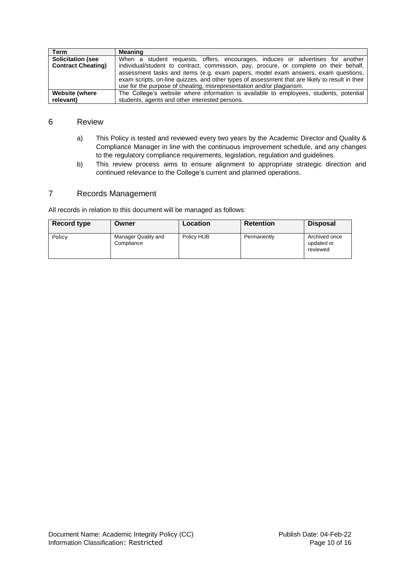| <b>Term</b>               | <b>Meaning</b>                                                                                  |  |  |
|---------------------------|-------------------------------------------------------------------------------------------------|--|--|
| <b>Solicitation (see</b>  | When a student requests, offers, encourages, induces or advertises for another                  |  |  |
| <b>Contract Cheating)</b> | individual/student to contract, commission, pay, procure, or complete on their behalf,          |  |  |
|                           | assessment tasks and items (e.g. exam papers, model exam answers, exam questions,               |  |  |
|                           | exam scripts, on-line quizzes, and other types of assessment that are likely to result in their |  |  |
|                           | use for the purpose of cheating, misrepresentation and/or plagiarism.                           |  |  |
| <b>Website (where</b>     | The College's website where information is available to employees, students, potential          |  |  |
| relevant)                 | students, agents and other interested persons.                                                  |  |  |

#### <span id="page-9-0"></span>6 Review

- a) This Policy is tested and reviewed every two years by the Academic Director and Quality & Compliance Manager in line with the continuous improvement schedule, and any changes to the regulatory compliance requirements, legislation, regulation and guidelines.
- b) This review process aims to ensure alignment to appropriate strategic direction and continued relevance to the College's current and planned operations.

#### <span id="page-9-1"></span>7 Records Management

All records in relation to this document will be managed as follows:

| Record type | Owner                             | Location   | <b>Retention</b> | <b>Disposal</b>                         |
|-------------|-----------------------------------|------------|------------------|-----------------------------------------|
| Policy      | Manager Quality and<br>Compliance | Policy HUB | Permanently      | Archived once<br>updated or<br>reviewed |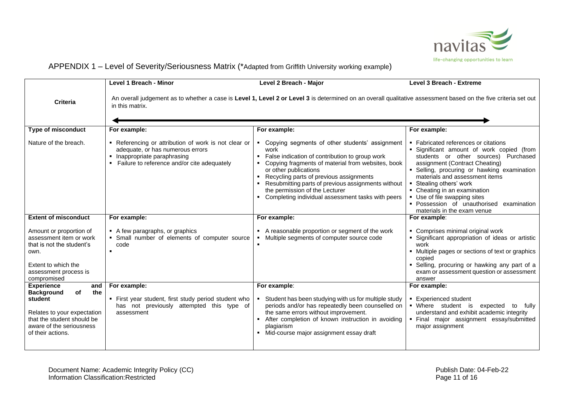

# APPENDIX 1 – Level of Severity/Seriousness Matrix (\*Adapted from Griffith University working example)

<span id="page-10-0"></span>

|                                                                                                                                                                                     | Level 1 Breach - Minor                                                                                                                                                            | Level 2 Breach - Major                                                                                                                                                                                                                                                                                                                                                                 | <b>Level 3 Breach - Extreme</b>                                                                                                                                                                                                                                                                                                                                                                                    |  |
|-------------------------------------------------------------------------------------------------------------------------------------------------------------------------------------|-----------------------------------------------------------------------------------------------------------------------------------------------------------------------------------|----------------------------------------------------------------------------------------------------------------------------------------------------------------------------------------------------------------------------------------------------------------------------------------------------------------------------------------------------------------------------------------|--------------------------------------------------------------------------------------------------------------------------------------------------------------------------------------------------------------------------------------------------------------------------------------------------------------------------------------------------------------------------------------------------------------------|--|
| <b>Criteria</b>                                                                                                                                                                     | An overall judgement as to whether a case is Level 1, Level 2 or Level 3 is determined on an overall qualitative assessment based on the five criteria set out<br>in this matrix. |                                                                                                                                                                                                                                                                                                                                                                                        |                                                                                                                                                                                                                                                                                                                                                                                                                    |  |
| <b>Type of misconduct</b>                                                                                                                                                           | For example:                                                                                                                                                                      | For example:                                                                                                                                                                                                                                                                                                                                                                           | For example:                                                                                                                                                                                                                                                                                                                                                                                                       |  |
| Nature of the breach.                                                                                                                                                               | • Referencing or attribution of work is not clear or<br>adequate, or has numerous errors<br>• Inappropriate paraphrasing<br>• Failure to reference and/or cite adequately         | • Copying segments of other students' assignment<br>work<br>False indication of contribution to group work<br>Copying fragments of material from websites, book<br>or other publications<br>• Recycling parts of previous assignments<br>• Resubmitting parts of previous assignments without<br>the permission of the Lecturer<br>• Completing individual assessment tasks with peers | • Fabricated references or citations<br>· Significant amount of work copied (from<br>students or other sources) Purchased<br>assignment (Contract Cheating)<br>· Selling, procuring or hawking examination<br>materials and assessment items<br>■ Stealing others' work<br>• Cheating in an examination<br>• Use of file swapping sites<br>· Possession of unauthorised examination<br>materials in the exam venue |  |
| <b>Extent of misconduct</b>                                                                                                                                                         | For example:                                                                                                                                                                      | For example:                                                                                                                                                                                                                                                                                                                                                                           | For example:                                                                                                                                                                                                                                                                                                                                                                                                       |  |
| Amount or proportion of<br>assessment item or work<br>that is not the student's<br>own.<br>Extent to which the<br>assessment process is<br>compromised                              | A few paragraphs, or graphics<br>• Small number of elements of computer source<br>code                                                                                            | • A reasonable proportion or segment of the work<br>• Multiple segments of computer source code                                                                                                                                                                                                                                                                                        | • Comprises minimal original work<br>• Significant appropriation of ideas or artistic<br>work<br>• Multiple pages or sections of text or graphics<br>copied<br>• Selling, procuring or hawking any part of a<br>exam or assessment question or assessment<br>answer                                                                                                                                                |  |
| <b>Experience</b><br>and<br>of<br>the<br><b>Background</b><br>student<br>Relates to your expectation<br>that the student should be<br>aware of the seriousness<br>of their actions. | For example:<br>• First year student, first study period student who<br>has not previously attempted this type of<br>assessment                                                   | For example:<br>• Student has been studying with us for multiple study<br>periods and/or has repeatedly been counselled on<br>the same errors without improvement.<br>• After completion of known instruction in avoiding<br>plagiarism<br>Mid-course major assignment essay draft                                                                                                     | For example:<br>■ Experienced student<br>· Where student is<br>expected to<br>fully<br>understand and exhibit academic integrity<br>· Final major assignment essay/submitted<br>major assignment                                                                                                                                                                                                                   |  |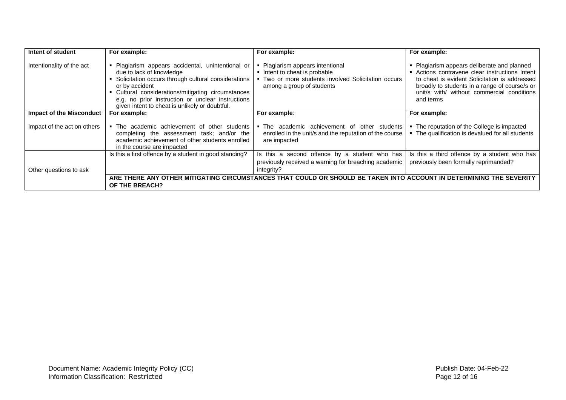| Intent of student               | For example:                                                                                                                                                                                                                                                                                                    | For example:                                                                                                                                    | For example:                                                                                                                                                                                                                                           |
|---------------------------------|-----------------------------------------------------------------------------------------------------------------------------------------------------------------------------------------------------------------------------------------------------------------------------------------------------------------|-------------------------------------------------------------------------------------------------------------------------------------------------|--------------------------------------------------------------------------------------------------------------------------------------------------------------------------------------------------------------------------------------------------------|
| Intentionality of the act       | Plagiarism appears accidental, unintentional or<br>due to lack of knowledge<br>Solicitation occurs through cultural considerations<br>or by accident<br>Cultural considerations/mitigating circumstances<br>e.g. no prior instruction or unclear instructions<br>given intent to cheat is unlikely or doubtful. | Plagiarism appears intentional<br>Intent to cheat is probable<br>Two or more students involved Solicitation occurs<br>among a group of students | Plagiarism appears deliberate and planned<br>Actions contravene clear instructions Intent<br>to cheat is evident Solicitation is addressed<br>broadly to students in a range of course/s or<br>unit/s with/ without commercial conditions<br>and terms |
| <b>Impact of the Misconduct</b> | For example:                                                                                                                                                                                                                                                                                                    | For example:                                                                                                                                    | For example:                                                                                                                                                                                                                                           |
| Impact of the act on others     | . The academic achievement of other students<br>completing the assessment task; and/or the<br>academic achievement of other students enrolled<br>in the course are impacted                                                                                                                                     | The academic achievement of<br>other students<br>enrolled in the unit/s and the reputation of the course<br>are impacted                        | • The reputation of the College is impacted<br>• The qualification is devalued for all students                                                                                                                                                        |
| Other questions to ask          | Is this a first offence by a student in good standing?                                                                                                                                                                                                                                                          | Is this a second offence by a student who has<br>previously received a warning for breaching academic<br>integrity?                             | Is this a third offence by a student who has<br>previously been formally reprimanded?                                                                                                                                                                  |
|                                 | <b>OF THE BREACH?</b>                                                                                                                                                                                                                                                                                           | ARE THERE ANY OTHER MITIGATING CIRCUMSTANCES THAT COULD OR SHOULD BE TAKEN INTO ACCOUNT IN DETERMINING THE SEVERITY                             |                                                                                                                                                                                                                                                        |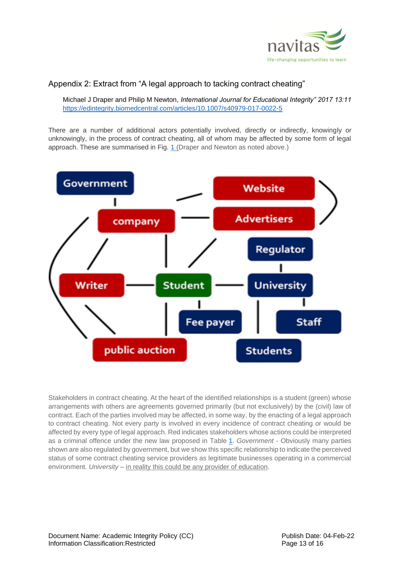

#### <span id="page-12-0"></span>Appendix 2: Extract from "A legal approach to tacking contract cheating"

<span id="page-12-2"></span><span id="page-12-1"></span>Michael J Draper and Philip M Newton, *International Journal for Educational Integrity" 2017 13:11* <https://edintegrity.biomedcentral.com/articles/10.1007/s40979-017-0022-5>

There are a number of additional actors potentially involved, directly or indirectly, knowingly or unknowingly, in the process of contract cheating, all of whom may be affected by some form of legal approach. These are summarised in Fig. [1](https://edintegrity.biomedcentral.com/articles/10.1007/s40979-017-0022-5#Fig1) (Draper and Newton as noted above.)



Stakeholders in contract cheating. At the heart of the identified relationships is a student (green) whose arrangements with others are agreements governed primarily (but not exclusively) by the (civil) law of contract. Each of the parties involved may be affected, in some way, by the enacting of a legal approach to contract cheating. Not every party is involved in every incidence of contract cheating or would be affected by every type of legal approach. Red indicates stakeholders whose actions could be interpreted as a criminal offence under the new law proposed in Table [1.](https://edintegrity.biomedcentral.com/articles/10.1007/s40979-017-0022-5#Tab1) *Government* - Obviously many parties shown are also regulated by government, but we show this specific relationship to indicate the perceived status of some contract cheating service providers as legitimate businesses operating in a commercial environment. *University* – in reality this could be any provider of education.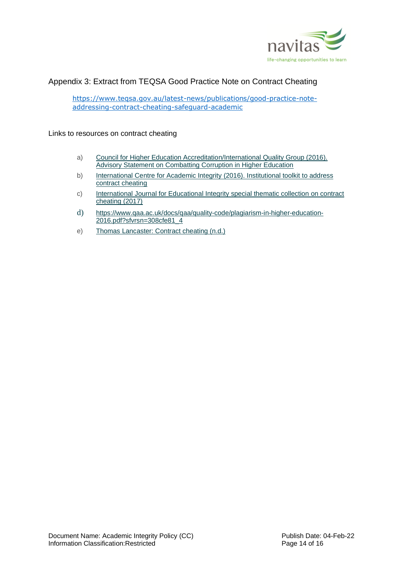

# <span id="page-13-0"></span>Appendix 3: Extract from TEQSA Good Practice Note on Contract Cheating

[https://www.teqsa.gov.au/latest-news/publications/good-practice-note](https://www.teqsa.gov.au/latest-news/publications/good-practice-note-addressing-contract-cheating-safeguard-academic)[addressing-contract-cheating-safeguard-academic](https://www.teqsa.gov.au/latest-news/publications/good-practice-note-addressing-contract-cheating-safeguard-academic)

#### <span id="page-13-1"></span>Links to resources on contract cheating

- a) [Council for Higher Education Accreditation/International Quality Group \(2016\).](http://www.iiep.unesco.org/en/chea-and-iiep-unesco-issue-advisory-statement-combatting-corruption-higher-education-3623)  [Advisory Statement on Combatting Corruption in Higher Education](http://www.iiep.unesco.org/en/chea-and-iiep-unesco-issue-advisory-statement-combatting-corruption-higher-education-3623)
- b) International Centre [for Academic Integrity \(2016\). Institutional toolkit to address](http://integrity.fiu.edu/pdfs/Contract%20Cheating.pdf)  [contract cheating](http://integrity.fiu.edu/pdfs/Contract%20Cheating.pdf)
- c) [International Journal for Educational Integrity special thematic collection on contract](https://edintegrity.springeropen.com/)  [cheating \(2017\)](https://edintegrity.springeropen.com/)
- d) [https://www.qaa.ac.uk/docs/qaa/quality-code/plagiarism-in-higher-education-](https://www.qaa.ac.uk/docs/qaa/quality-code/plagiarism-in-higher-education-2016.pdf?sfvrsn=308cfe81_4)[2016.pdf?sfvrsn=308cfe81\\_4](https://www.qaa.ac.uk/docs/qaa/quality-code/plagiarism-in-higher-education-2016.pdf?sfvrsn=308cfe81_4)
- e) [Thomas Lancaster: Contract cheating \(n.d.\)](http://thomaslancaster.co.uk/contract-cheating/)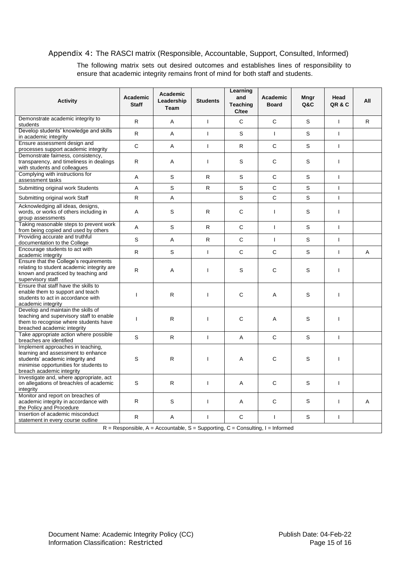#### <span id="page-14-0"></span>Appendix 4: The RASCI matrix (Responsible, Accountable, Support, Consulted, Informed)

The following matrix sets out desired outcomes and establishes lines of responsibility to ensure that academic integrity remains front of mind for both staff and students.

| <b>Activity</b>                                                                                                                                                                    | <b>Academic</b><br><b>Staff</b> | Academic<br>Leadership<br><b>Team</b> | <b>Students</b> | Learning<br>and<br><b>Teaching</b><br>C/tee | Academic<br><b>Board</b> | Mngr<br><b>Q&amp;C</b> | Head<br>QR & C | All |  |
|------------------------------------------------------------------------------------------------------------------------------------------------------------------------------------|---------------------------------|---------------------------------------|-----------------|---------------------------------------------|--------------------------|------------------------|----------------|-----|--|
| Demonstrate academic integrity to<br>students                                                                                                                                      | $\mathsf{R}$                    | A                                     | $\mathbf{I}$    | C                                           | $\mathsf{C}$             | S                      | $\mathbf{I}$   | R.  |  |
| Develop students' knowledge and skills<br>in academic integrity                                                                                                                    | R                               | A                                     | $\mathbf{I}$    | S                                           | $\mathbf{I}$             | S                      | $\mathsf{I}$   |     |  |
| Ensure assessment design and<br>processes support academic integrity                                                                                                               | $\mathsf{C}$                    | A                                     | $\mathbf{I}$    | R                                           | $\mathsf{C}$             | S                      | $\mathsf{I}$   |     |  |
| Demonstrate fairness, consistency,<br>transparency, and timeliness in dealings<br>with students and colleagues                                                                     | R                               | Α                                     | $\mathbf{I}$    | S                                           | $\mathsf C$              | S                      | ı              |     |  |
| Complying with instructions for<br>assessment tasks                                                                                                                                | A                               | S                                     | R               | S                                           | $\mathsf{C}$             | S                      | $\mathbf{I}$   |     |  |
| Submitting original work Students                                                                                                                                                  | Α                               | S                                     | R               | S                                           | C                        | S                      | I              |     |  |
| Submitting original work Staff                                                                                                                                                     | R                               | A                                     |                 | S                                           | C                        | S                      | $\mathsf{I}$   |     |  |
| Acknowledging all ideas, designs,<br>words, or works of others including in<br>group assessments                                                                                   | A                               | S                                     | R               | C                                           | I                        | S                      | $\mathsf{I}$   |     |  |
| Taking reasonable steps to prevent work<br>from being copied and used by others                                                                                                    | A                               | S                                     | ${\sf R}$       | $\mathsf C$                                 | $\mathbf{I}$             | S                      | $\mathbf{I}$   |     |  |
| Providing accurate and truthful<br>documentation to the College                                                                                                                    | $\mathbf S$                     | A                                     | ${\sf R}$       | $\mathsf C$                                 | $\mathbf{I}$             | S                      | $\mathsf{I}$   |     |  |
| Encourage students to act with<br>academic integrity                                                                                                                               | R                               | S                                     | $\mathbf{I}$    | C                                           | $\mathsf{C}$             | S                      | $\mathsf{I}$   | A   |  |
| Ensure that the College's requirements<br>relating to student academic integrity are<br>known and practiced by teaching and<br>supervisory staff                                   | R                               | A                                     | $\mathbf{I}$    | S                                           | C                        | S                      | ı              |     |  |
| Ensure that staff have the skills to<br>enable them to support and teach<br>students to act in accordance with<br>academic integrity                                               | $\overline{1}$                  | R.                                    | $\mathbf{I}$    | C                                           | A                        | S                      | $\mathsf{I}$   |     |  |
| Develop and maintain the skills of<br>teaching and supervisory staff to enable<br>them to recognise where students have<br>breached academic integrity                             | <sup>1</sup>                    | R                                     | $\overline{1}$  | C                                           | Α                        | S                      |                |     |  |
| Take appropriate action where possible<br>breaches are identified                                                                                                                  | S                               | R.                                    | $\mathbf{I}$    | A                                           | $\mathsf{C}$             | S                      | T              |     |  |
| Implement approaches in teaching,<br>learning and assessment to enhance<br>students' academic integrity and<br>minimise opportunities for students to<br>breach academic integrity | S                               | R                                     | T               | Α                                           | $\mathsf{C}$             | S                      | ı              |     |  |
| Investigate and, where appropriate, act<br>on allegations of breach/es of academic<br>integrity                                                                                    | S                               | R                                     | $\mathbf{I}$    | Α                                           | $\mathsf C$              | S                      | ı              |     |  |
| Monitor and report on breaches of<br>academic integrity in accordance with<br>the Policy and Procedure                                                                             | R                               | S                                     | $\mathbf{I}$    | Α                                           | $\mathsf C$              | S                      | ı              | A   |  |
| Insertion of academic misconduct<br>statement in every course outline                                                                                                              | $\mathsf{R}$                    | A                                     | $\mathbf{I}$    | C                                           | $\mathbf{I}$             | S                      | $\mathsf{I}$   |     |  |
| $R =$ Responsible, A = Accountable, S = Supporting, C = Consulting, I = Informed                                                                                                   |                                 |                                       |                 |                                             |                          |                        |                |     |  |